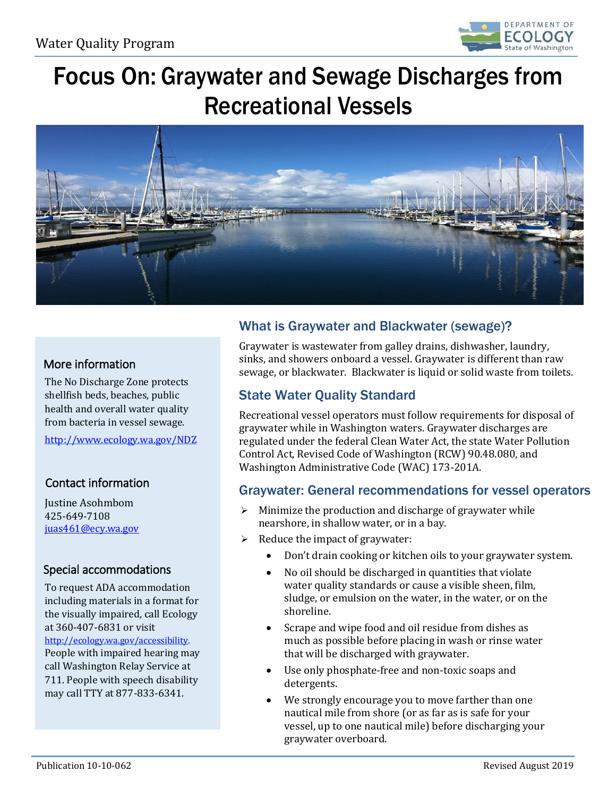

Focus On: Graywater and Sewage Discharges from Recreational Vessels



## More information

The No Discharge Zone protects shellfish beds, beaches, public health and overall water quality from bacteria in vessel sewage.

<http://www.ecology.wa.gov/NDZ>

### Contact information

Justine Asohmbom 425-649-7108 [juas461@ecy.wa.gov](mailto:juas461@ecy.wa.gov)

### Special accommodations

To request ADA accommodation including materials in a format for the visually impaired, call Ecology at 360-407-6831 or visit [http://ecology.wa.gov/accessibility.](http://ecology.wa.gov/accessibility)  People with impaired hearing may call Washington Relay Service at 711. People with speech disability may call TTY at 877-833-6341.

# What is Graywater and Blackwater (sewage)?

Graywater is wastewater from galley drains, dishwasher, laundry, sinks, and showers onboard a vessel. Graywater is different than raw sewage, or blackwater. Blackwater is liquid or solid waste from toilets.

## State Water Quality Standard

Recreational vessel operators must follow requirements for disposal of graywater while in Washington waters. Graywater discharges are regulated under the federal Clean Water Act, the state Water Pollution Control Act, Revised Code of Washington (RCW) 90.48.080, and Washington Administrative Code (WAC) 173-201A.

### Graywater: General recommendations for vessel operators

- $\triangleright$  Minimize the production and discharge of graywater while nearshore, in shallow water, or in a bay.
- $\triangleright$  Reduce the impact of graywater:
	- Don't drain cooking or kitchen oils to your graywater system.
	- No oil should be discharged in quantities that violate water quality standards or cause a visible sheen, film, sludge, or emulsion on the water, in the water, or on the shoreline.
	- Scrape and wipe food and oil residue from dishes as much as possible before placing in wash or rinse water that will be discharged with graywater.
	- Use only phosphate-free and non-toxic soaps and detergents.
	- We strongly encourage you to move farther than one nautical mile from shore (or as far as is safe for your vessel, up to one nautical mile) before discharging your graywater overboard.